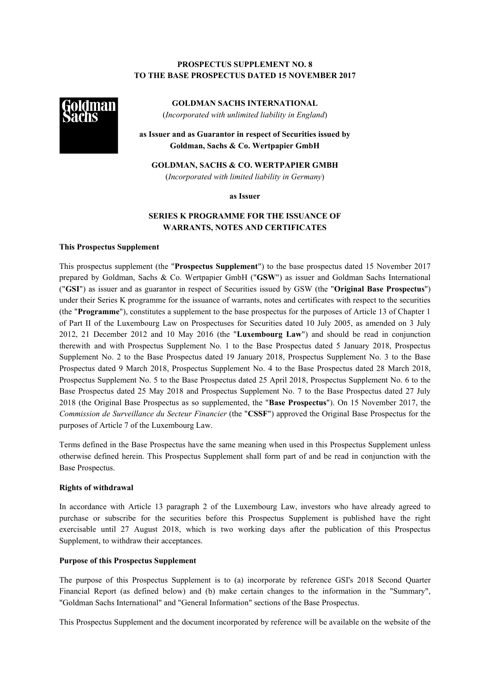## **PROSPECTUS SUPPLEMENT NO. 8 TO THE BASE PROSPECTUS DATED 15 NOVEMBER 2017**



**GOLDMAN SACHS INTERNATIONAL** (*Incorporated with unlimited liability in England*)

**as Issuer and as Guarantor in respect of Securities issued by Goldman, Sachs & Co. Wertpapier GmbH**

**GOLDMAN, SACHS & CO. WERTPAPIER GMBH** (*Incorporated with limited liability in Germany*)

**as Issuer**

# **SERIES K PROGRAMME FOR THE ISSUANCE OF WARRANTS, NOTES AND CERTIFICATES**

### **This Prospectus Supplement**

This prospectus supplement (the "**Prospectus Supplement**") to the base prospectus dated 15 November 2017 prepared by Goldman, Sachs & Co. Wertpapier GmbH ("**GSW**") as issuer and Goldman Sachs International ("**GSI**") as issuer and as guarantor in respect of Securities issued by GSW (the "**Original Base Prospectus**") under their Series K programme for the issuance of warrants, notes and certificates with respect to the securities (the "**Programme**"), constitutes a supplement to the base prospectus for the purposes of Article 13 of Chapter 1 of Part II of the Luxembourg Law on Prospectuses for Securities dated 10 July 2005, as amended on 3 July 2012, 21 December 2012 and 10 May 2016 (the "**Luxembourg Law**") and should be read in conjunction therewith and with Prospectus Supplement No. 1 to the Base Prospectus dated 5 January 2018, Prospectus Supplement No. 2 to the Base Prospectus dated 19 January 2018, Prospectus Supplement No. 3 to the Base Prospectus dated 9 March 2018, Prospectus Supplement No. 4 to the Base Prospectus dated 28 March 2018, Prospectus Supplement No. 5 to the Base Prospectus dated 25 April 2018, Prospectus Supplement No. 6 to the Base Prospectus dated 25 May 2018 and Prospectus Supplement No. 7 to the Base Prospectus dated 27 July 2018 (the Original Base Prospectus as so supplemented, the "**Base Prospectus**"). On 15 November 2017, the *Commission de Surveillance du Secteur Financier* (the "**CSSF**") approved the Original Base Prospectus for the purposes of Article 7 of the Luxembourg Law.

Terms defined in the Base Prospectus have the same meaning when used in this Prospectus Supplement unless otherwise defined herein. This Prospectus Supplement shall form part of and be read in conjunction with the Base Prospectus.

### **Rights of withdrawal**

In accordance with Article 13 paragraph 2 of the Luxembourg Law, investors who have already agreed to purchase or subscribe for the securities before this Prospectus Supplement is published have the right exercisable until 27 August 2018, which is two working days after the publication of this Prospectus Supplement, to withdraw their acceptances.

### **Purpose of this Prospectus Supplement**

The purpose of this Prospectus Supplement is to (a) incorporate by reference GSI's 2018 Second Quarter Financial Report (as defined below) and (b) make certain changes to the information in the "Summary", "Goldman Sachs International" and "General Information" sections of the Base Prospectus.

This Prospectus Supplement and the document incorporated by reference will be available on the website of the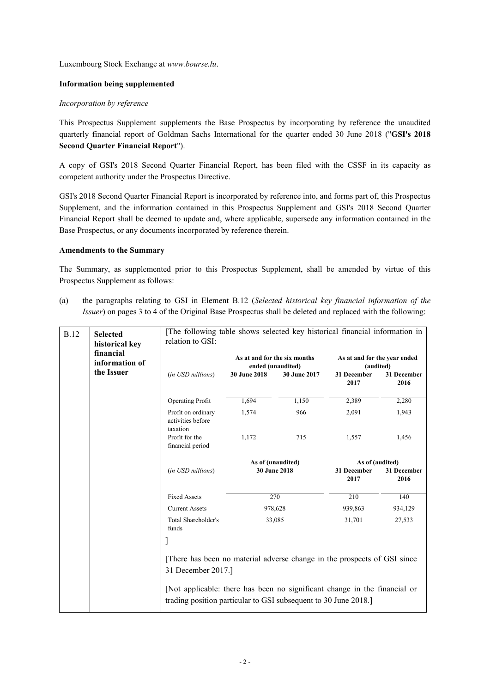Luxembourg Stock Exchange at *www.bourse.lu*.

### **Information being supplemented**

### *Incorporation by reference*

This Prospectus Supplement supplements the Base Prospectus by incorporating by reference the unaudited quarterly financial report of Goldman Sachs International for the quarter ended 30 June 2018 ("**GSI's 2018 Second Quarter Financial Report**").

A copy of GSI's 2018 Second Quarter Financial Report, has been filed with the CSSF in its capacity as competent authority under the Prospectus Directive.

GSI's 2018 Second Quarter Financial Report is incorporated by reference into, and forms part of, this Prospectus Supplement, and the information contained in this Prospectus Supplement and GSI's 2018 Second Quarter Financial Report shall be deemed to update and, where applicable, supersede any information contained in the Base Prospectus, or any documents incorporated by reference therein.

### **Amendments to the Summary**

The Summary, as supplemented prior to this Prospectus Supplement, shall be amended by virtue of this Prospectus Supplement as follows:

(a) the paragraphs relating to GSI in Element B.12 (*Selected historical key financial information of the Issuer*) on pages 3 to 4 of the Original Base Prospectus shall be deleted and replaced with the following:

| <b>B.12</b>                                                                                    | <b>Selected</b><br>historical key<br>financial<br>information of | [The following table shows selected key historical financial information in<br>relation to GSI:                                              |              |                                   |                                           |                                               |  |
|------------------------------------------------------------------------------------------------|------------------------------------------------------------------|----------------------------------------------------------------------------------------------------------------------------------------------|--------------|-----------------------------------|-------------------------------------------|-----------------------------------------------|--|
| the Issuer                                                                                     |                                                                  | As at and for the six months<br>ended (unaudited)                                                                                            |              |                                   | As at and for the year ended<br>(audited) |                                               |  |
|                                                                                                | (in USD millions)                                                | 30 June 2018                                                                                                                                 | 30 June 2017 | 31 December<br>2017               | 31 December<br>2016                       |                                               |  |
|                                                                                                |                                                                  | <b>Operating Profit</b>                                                                                                                      | 1,694        | 1,150                             | 2,389                                     | 2,280                                         |  |
|                                                                                                |                                                                  | Profit on ordinary<br>activities before<br>taxation                                                                                          | 1,574        | 966                               | 2,091                                     | 1,943                                         |  |
|                                                                                                |                                                                  | Profit for the<br>financial period                                                                                                           | 1,172        | 715                               | 1,557                                     | 1,456                                         |  |
|                                                                                                |                                                                  | (in USD millions)                                                                                                                            |              | As of (unaudited)<br>30 June 2018 |                                           | As of (audited)<br>31 December<br>31 December |  |
|                                                                                                |                                                                  |                                                                                                                                              |              | 2017                              | 2016                                      |                                               |  |
|                                                                                                |                                                                  | <b>Fixed Assets</b>                                                                                                                          |              | 270                               | 210                                       | 140                                           |  |
|                                                                                                |                                                                  | <b>Current Assets</b>                                                                                                                        | 978,628      |                                   | 939,863                                   | 934,129                                       |  |
|                                                                                                |                                                                  | Total Shareholder's<br>funds                                                                                                                 |              | 33,085                            | 31,701                                    | 27,533                                        |  |
|                                                                                                |                                                                  | 1                                                                                                                                            |              |                                   |                                           |                                               |  |
| [There has been no material adverse change in the prospects of GSI since<br>31 December 2017.] |                                                                  |                                                                                                                                              |              |                                   |                                           |                                               |  |
|                                                                                                |                                                                  |                                                                                                                                              |              |                                   |                                           |                                               |  |
|                                                                                                |                                                                  | [Not applicable: there has been no significant change in the financial or<br>trading position particular to GSI subsequent to 30 June 2018.] |              |                                   |                                           |                                               |  |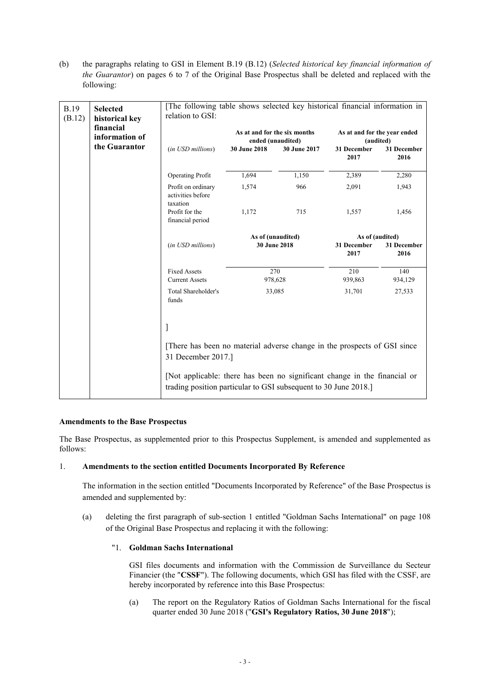(b) the paragraphs relating to GSI in Element B.19 (B.12) (*Selected historical key financial information of the Guarantor*) on pages 6 to 7 of the Original Base Prospectus shall be deleted and replaced with the following:

| <b>B.19</b><br>(B.12) | <b>Selected</b><br>historical key<br>financial<br>information of<br>the Guarantor | [The following table shows selected key historical financial information in<br>relation to GSI:                                              |                                                   |              |                                           |                     |  |
|-----------------------|-----------------------------------------------------------------------------------|----------------------------------------------------------------------------------------------------------------------------------------------|---------------------------------------------------|--------------|-------------------------------------------|---------------------|--|
|                       |                                                                                   |                                                                                                                                              | As at and for the six months<br>ended (unaudited) |              | As at and for the year ended<br>(audited) |                     |  |
|                       |                                                                                   | (in USD millions)                                                                                                                            | 30 June 2018                                      | 30 June 2017 | 31 December<br>2017                       | 31 December<br>2016 |  |
|                       |                                                                                   | <b>Operating Profit</b>                                                                                                                      | 1,694                                             | 1,150        | 2,389                                     | 2,280               |  |
|                       |                                                                                   | Profit on ordinary<br>activities before<br>taxation                                                                                          | 1,574                                             | 966          | 2,091                                     | 1,943               |  |
|                       |                                                                                   | Profit for the<br>financial period                                                                                                           | 1,172                                             | 715          | 1,557                                     | 1,456               |  |
|                       |                                                                                   |                                                                                                                                              | As of (unaudited)                                 |              | As of (audited)                           |                     |  |
|                       |                                                                                   | (in USD millions)                                                                                                                            |                                                   | 30 June 2018 | 31 December<br>2017                       | 31 December<br>2016 |  |
|                       |                                                                                   | <b>Fixed Assets</b>                                                                                                                          |                                                   | 270          | 210                                       | 140                 |  |
|                       |                                                                                   | <b>Current Assets</b>                                                                                                                        |                                                   | 978,628      | 939,863                                   | 934,129             |  |
|                       |                                                                                   | Total Shareholder's<br>funds                                                                                                                 |                                                   | 33,085       | 31,701                                    | 27,533              |  |
|                       |                                                                                   | J                                                                                                                                            |                                                   |              |                                           |                     |  |
|                       |                                                                                   | [There has been no material adverse change in the prospects of GSI since<br>31 December 2017.]                                               |                                                   |              |                                           |                     |  |
|                       |                                                                                   | [Not applicable: there has been no significant change in the financial or<br>trading position particular to GSI subsequent to 30 June 2018.] |                                                   |              |                                           |                     |  |

## **Amendments to the Base Prospectus**

The Base Prospectus, as supplemented prior to this Prospectus Supplement, is amended and supplemented as follows:

## 1. **Amendments to the section entitled Documents Incorporated By Reference**

The information in the section entitled "Documents Incorporated by Reference" of the Base Prospectus is amended and supplemented by:

(a) deleting the first paragraph of sub-section 1 entitled "Goldman Sachs International" on page 108 of the Original Base Prospectus and replacing it with the following:

### "1. **Goldman Sachs International**

GSI files documents and information with the Commission de Surveillance du Secteur Financier (the "**CSSF**"). The following documents, which GSI has filed with the CSSF, are hereby incorporated by reference into this Base Prospectus:

(a) The report on the Regulatory Ratios of Goldman Sachs International for the fiscal quarter ended 30 June 2018 ("**GSI's Regulatory Ratios, 30 June 2018**");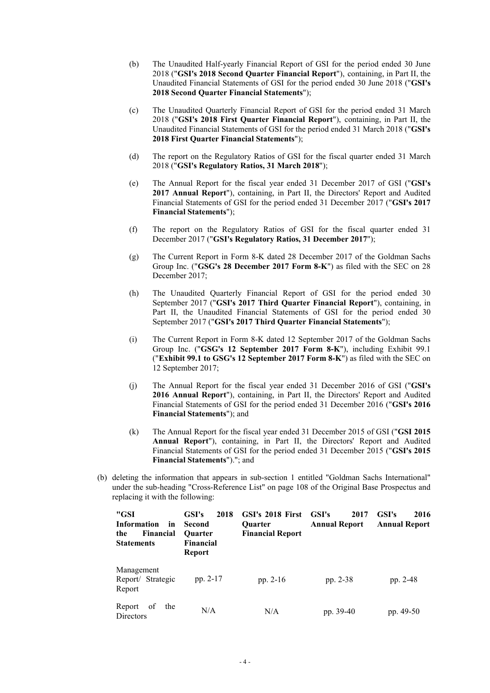- (b) The Unaudited Half-yearly Financial Report of GSI for the period ended 30 June 2018 ("**GSI's 2018 Second Quarter Financial Report**"), containing, in Part II, the Unaudited Financial Statements of GSI for the period ended 30 June 2018 ("**GSI's 2018 Second Quarter Financial Statements**");
- (c) The Unaudited Quarterly Financial Report of GSI for the period ended 31 March 2018 ("**GSI's 2018 First Quarter Financial Report**"), containing, in Part II, the Unaudited Financial Statements of GSI for the period ended 31 March 2018 ("**GSI's 2018 First Quarter Financial Statements**");
- (d) The report on the Regulatory Ratios of GSI for the fiscal quarter ended 31 March 2018 ("**GSI's Regulatory Ratios, 31 March 2018**");
- (e) The Annual Report for the fiscal year ended 31 December 2017 of GSI ("**GSI's 2017 Annual Report**"), containing, in Part II, the Directors' Report and Audited Financial Statements of GSI for the period ended 31 December 2017 ("**GSI's 2017 Financial Statements**");
- (f) The report on the Regulatory Ratios of GSI for the fiscal quarter ended 31 December 2017 ("**GSI's Regulatory Ratios, 31 December 2017**");
- (g) The Current Report in Form 8-K dated 28 December 2017 of the Goldman Sachs Group Inc. ("**GSG's 28 December 2017 Form 8-K**") as filed with the SEC on 28 December 2017;
- (h) The Unaudited Quarterly Financial Report of GSI for the period ended 30 September 2017 ("**GSI's 2017 Third Quarter Financial Report**"), containing, in Part II, the Unaudited Financial Statements of GSI for the period ended 30 September 2017 ("**GSI's 2017 Third Quarter Financial Statements**");
- (i) The Current Report in Form 8-K dated 12 September 2017 of the Goldman Sachs Group Inc. ("**GSG's 12 September 2017 Form 8-K**"), including Exhibit 99.1 ("**Exhibit 99.1 to GSG's 12 September 2017 Form 8-K**") as filed with the SEC on 12 September 2017;
- (j) The Annual Report for the fiscal year ended 31 December 2016 of GSI ("**GSI's 2016 Annual Report**"), containing, in Part II, the Directors' Report and Audited Financial Statements of GSI for the period ended 31 December 2016 ("**GSI's 2016 Financial Statements**"); and
- (k) The Annual Report for the fiscal year ended 31 December 2015 of GSI ("**GSI 2015 Annual Report**"), containing, in Part II, the Directors' Report and Audited Financial Statements of GSI for the period ended 31 December 2015 ("**GSI's 2015 Financial Statements**")."; and
- (b) deleting the information that appears in sub-section 1 entitled "Goldman Sachs International" under the sub-heading "Cross-Reference List" on page 108 of the Original Base Prospectus and replacing it with the following:

| "GSI<br><b>Information</b><br>in<br>Financial<br>the<br><b>Statements</b> | 2018<br>GSI's<br><b>Second</b><br><b>Ouarter</b><br>Financial<br><b>Report</b> | GSI's 2018 First<br><b>Ouarter</b><br><b>Financial Report</b> | GSI's<br>2017<br><b>Annual Report</b> | GSI's<br>2016<br><b>Annual Report</b> |
|---------------------------------------------------------------------------|--------------------------------------------------------------------------------|---------------------------------------------------------------|---------------------------------------|---------------------------------------|
| Management<br>Report/ Strategic<br>Report                                 | pp. 2-17                                                                       | pp. $2-16$                                                    | pp. 2-38                              | pp. 2-48                              |
| of<br>Report<br>the<br>Directors                                          | N/A                                                                            | N/A                                                           | pp. 39-40                             | pp. 49-50                             |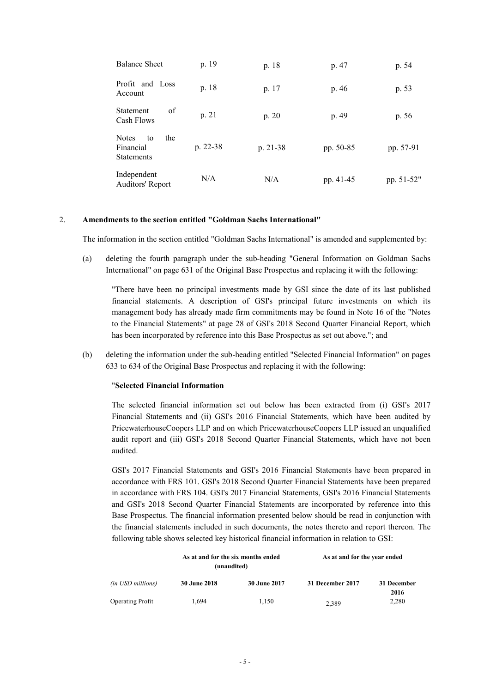| <b>Balance Sheet</b>                                        | p. 19    | p. 18      | p. 47     | p. 54      |
|-------------------------------------------------------------|----------|------------|-----------|------------|
| Profit and Loss<br>Account                                  | p. 18    | p. 17      | p. 46     | p. 53      |
| οf<br>Statement<br>Cash Flows                               | p. 21    | p. 20      | p. 49     | p. 56      |
| <b>Notes</b><br>the<br>to<br>Financial<br><b>Statements</b> | p. 22-38 | $p. 21-38$ | pp. 50-85 | pp. 57-91  |
| Independent<br>Auditors' Report                             | N/A      | N/A        | pp. 41-45 | pp. 51-52" |

#### 2. **Amendments to the section entitled "Goldman Sachs International"**

The information in the section entitled "Goldman Sachs International" is amended and supplemented by:

(a) deleting the fourth paragraph under the sub-heading "General Information on Goldman Sachs International" on page 631 of the Original Base Prospectus and replacing it with the following:

"There have been no principal investments made by GSI since the date of its last published financial statements. A description of GSI's principal future investments on which its management body has already made firm commitments may be found in Note 16 of the "Notes to the Financial Statements" at page 28 of GSI's 2018 Second Quarter Financial Report, which has been incorporated by reference into this Base Prospectus as set out above."; and

(b) deleting the information under the sub-heading entitled "Selected Financial Information" on pages 633 to 634 of the Original Base Prospectus and replacing it with the following:

#### "**Selected Financial Information**

The selected financial information set out below has been extracted from (i) GSI's 2017 Financial Statements and (ii) GSI's 2016 Financial Statements, which have been audited by PricewaterhouseCoopers LLP and on which PricewaterhouseCoopers LLP issued an unqualified audit report and (iii) GSI's 2018 Second Quarter Financial Statements, which have not been audited.

GSI's 2017 Financial Statements and GSI's 2016 Financial Statements have been prepared in accordance with FRS 101. GSI's 2018 Second Quarter Financial Statements have been prepared in accordance with FRS 104. GSI's 2017 Financial Statements, GSI's 2016 Financial Statements and GSI's 2018 Second Quarter Financial Statements are incorporated by reference into this Base Prospectus. The financial information presented below should be read in conjunction with the financial statements included in such documents, the notes thereto and report thereon. The following table shows selected key historical financial information in relation to GSI:

|                          | As at and for the six months ended<br>(unaudited) |                     | As at and for the year ended |               |  |
|--------------------------|---------------------------------------------------|---------------------|------------------------------|---------------|--|
| <i>(in USD millions)</i> | <b>30 June 2018</b>                               | <b>30 June 2017</b> | 31 December 2017             | 31 December   |  |
| <b>Operating Profit</b>  | 1.694                                             | 1.150               | 2,389                        | 2016<br>2,280 |  |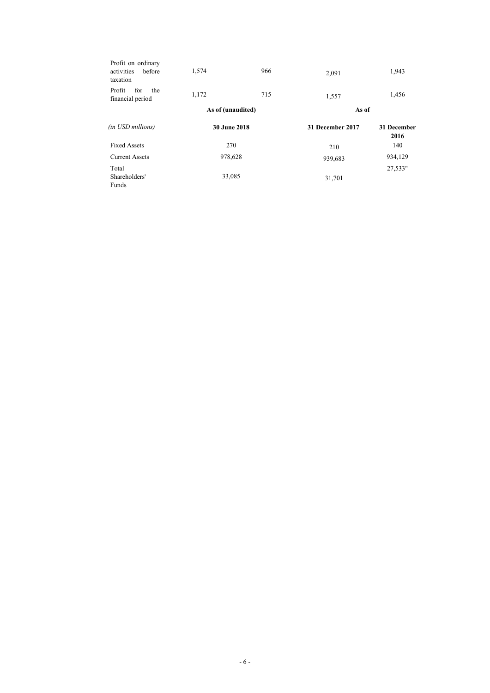| Profit on ordinary<br>before<br>activities<br>taxation | 1,574               | 966 | 2,091            | 1,943               |  |
|--------------------------------------------------------|---------------------|-----|------------------|---------------------|--|
| Profit<br>for<br>the<br>financial period               | 1,172               | 715 | 1,557            | 1,456               |  |
|                                                        | As of (unaudited)   |     | As of            |                     |  |
| (in USD millions)                                      | <b>30 June 2018</b> |     | 31 December 2017 | 31 December<br>2016 |  |
| <b>Fixed Assets</b>                                    | 270                 |     | 210              | 140                 |  |
| <b>Current Assets</b>                                  | 978,628             |     | 939,683          | 934,129             |  |
| Total<br>Shareholders'<br>Funds                        | 33,085              |     | 31,701           | 27,533"             |  |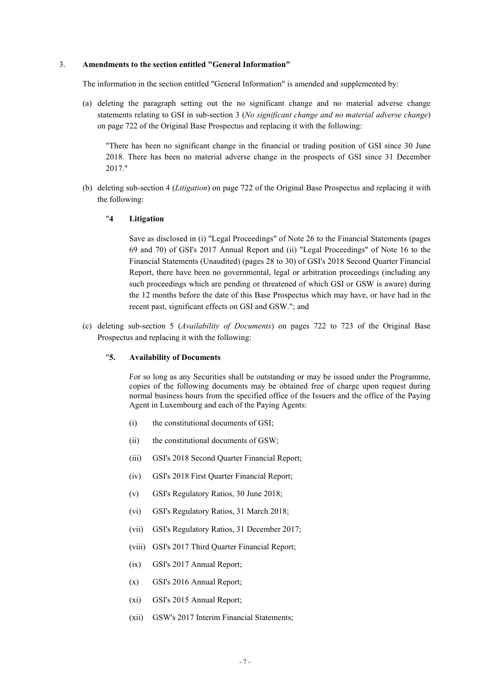#### 3. **Amendments to the section entitled "General Information"**

The information in the section entitled "General Information" is amended and supplemented by:

(a) deleting the paragraph setting out the no significant change and no material adverse change statements relating to GSI in sub-section 3 (*No significant change and no material adverse change*) on page 722 of the Original Base Prospectus and replacing it with the following:

"There has been no significant change in the financial or trading position of GSI since 30 June 2018. There has been no material adverse change in the prospects of GSI since 31 December 2017."

(b) deleting sub-section 4 (*Litigation*) on page 722 of the Original Base Prospectus and replacing it with the following:

### "**4 Litigation**

Save as disclosed in (i) "Legal Proceedings" of Note 26 to the Financial Statements (pages 69 and 70) of GSI's 2017 Annual Report and (ii) "Legal Proceedings" of Note 16 to the Financial Statements (Unaudited) (pages 28 to 30) of GSI's 2018 Second Quarter Financial Report, there have been no governmental, legal or arbitration proceedings (including any such proceedings which are pending or threatened of which GSI or GSW is aware) during the 12 months before the date of this Base Prospectus which may have, or have had in the recent past, significant effects on GSI and GSW."; and

(c) deleting sub-section 5 (*Availability of Documents*) on pages 722 to 723 of the Original Base Prospectus and replacing it with the following:

## "**5. Availability of Documents**

For so long as any Securities shall be outstanding or may be issued under the Programme, copies of the following documents may be obtained free of charge upon request during normal business hours from the specified office of the Issuers and the office of the Paying Agent in Luxembourg and each of the Paying Agents:

- (i) the constitutional documents of GSI;
- (ii) the constitutional documents of GSW;
- (iii) GSI's 2018 Second Quarter Financial Report;
- (iv) GSI's 2018 First Quarter Financial Report;
- (v) GSI's Regulatory Ratios, 30 June 2018;
- (vi) GSI's Regulatory Ratios, 31 March 2018;
- (vii) GSI's Regulatory Ratios, 31 December 2017;
- (viii) GSI's 2017 Third Quarter Financial Report;
- (ix) GSI's 2017 Annual Report;
- (x) GSI's 2016 Annual Report;
- (xi) GSI's 2015 Annual Report;
- (xii) GSW's 2017 Interim Financial Statements;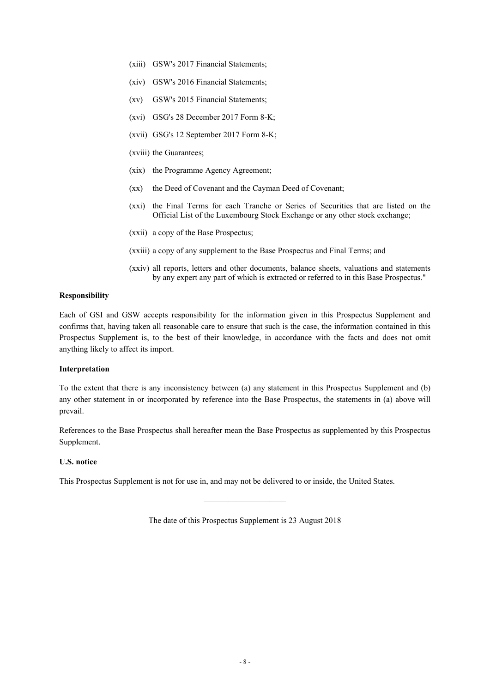- (xiii) GSW's 2017 Financial Statements;
- (xiv) GSW's 2016 Financial Statements;
- (xv) GSW's 2015 Financial Statements;
- (xvi) GSG's 28 December 2017 Form 8-K;
- (xvii) GSG's 12 September 2017 Form 8-K;
- (xviii) the Guarantees;
- (xix) the Programme Agency Agreement;
- (xx) the Deed of Covenant and the Cayman Deed of Covenant;
- (xxi) the Final Terms for each Tranche or Series of Securities that are listed on the Official List of the Luxembourg Stock Exchange or any other stock exchange;
- (xxii) a copy of the Base Prospectus;
- (xxiii) a copy of any supplement to the Base Prospectus and Final Terms; and
- (xxiv) all reports, letters and other documents, balance sheets, valuations and statements by any expert any part of which is extracted or referred to in this Base Prospectus."

#### **Responsibility**

Each of GSI and GSW accepts responsibility for the information given in this Prospectus Supplement and confirms that, having taken all reasonable care to ensure that such is the case, the information contained in this Prospectus Supplement is, to the best of their knowledge, in accordance with the facts and does not omit anything likely to affect its import.

#### **Interpretation**

To the extent that there is any inconsistency between (a) any statement in this Prospectus Supplement and (b) any other statement in or incorporated by reference into the Base Prospectus, the statements in (a) above will prevail.

References to the Base Prospectus shall hereafter mean the Base Prospectus as supplemented by this Prospectus Supplement.

#### **U.S. notice**

This Prospectus Supplement is not for use in, and may not be delivered to or inside, the United States.

The date of this Prospectus Supplement is 23 August 2018

 $\overline{\phantom{a}}$  , and the contract of the contract of the contract of the contract of the contract of the contract of the contract of the contract of the contract of the contract of the contract of the contract of the contrac